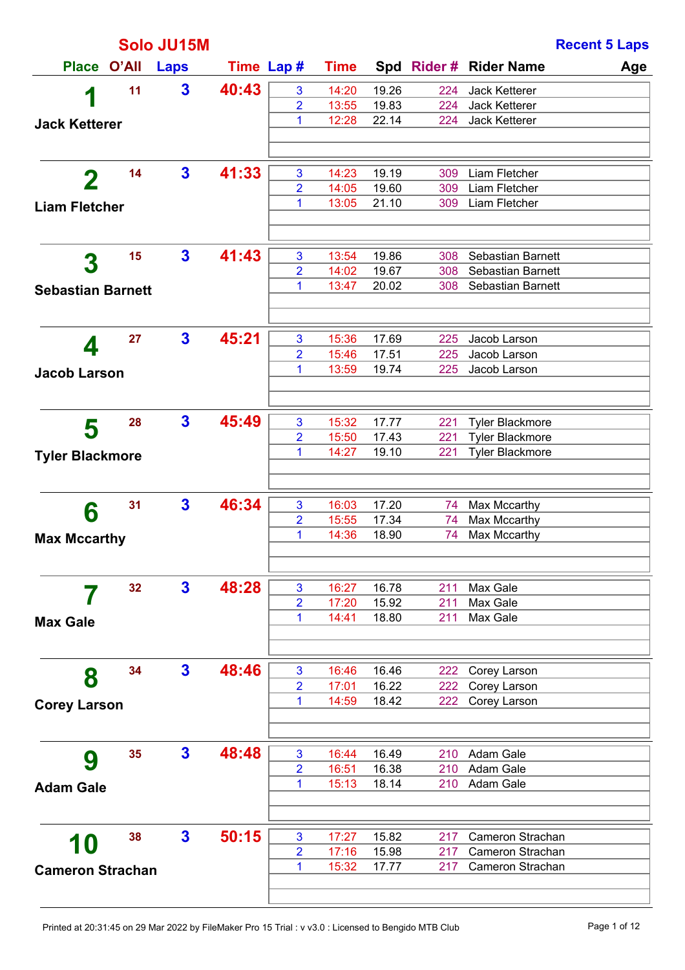| Solo JU15M               |    |              |       |                |             |       |     | <b>Recent 5 Laps</b>          |
|--------------------------|----|--------------|-------|----------------|-------------|-------|-----|-------------------------------|
| Place O'All              |    | <b>Laps</b>  |       | Time Lap #     | <b>Time</b> |       |     | Spd Rider # Rider Name<br>Age |
|                          | 11 | $\mathbf{3}$ | 40:43 | 3              | 14:20       | 19.26 | 224 | Jack Ketterer                 |
| 1                        |    |              |       | $\overline{2}$ | 13:55       | 19.83 | 224 | Jack Ketterer                 |
| <b>Jack Ketterer</b>     |    |              |       | 1              | 12:28       | 22.14 | 224 | Jack Ketterer                 |
|                          |    |              |       |                |             |       |     |                               |
| 2                        | 14 | $\mathbf{3}$ | 41:33 | 3              | 14:23       | 19.19 | 309 | Liam Fletcher                 |
|                          |    |              |       | $\overline{2}$ | 14:05       | 19.60 | 309 | Liam Fletcher                 |
| <b>Liam Fletcher</b>     |    |              |       | 1              | 13:05       | 21.10 | 309 | Liam Fletcher                 |
|                          |    |              |       |                |             |       |     |                               |
| 3                        | 15 | $\mathbf{3}$ | 41:43 | 3              | 13:54       | 19.86 | 308 | Sebastian Barnett             |
|                          |    |              |       | $\overline{2}$ | 14:02       | 19.67 | 308 | Sebastian Barnett             |
| <b>Sebastian Barnett</b> |    |              |       | 1              | 13:47       | 20.02 | 308 | Sebastian Barnett             |
|                          |    |              |       |                |             |       |     |                               |
| 4                        | 27 | $\mathbf{3}$ | 45:21 | 3              | 15:36       | 17.69 | 225 | Jacob Larson                  |
|                          |    |              |       | $\overline{2}$ | 15:46       | 17.51 | 225 | Jacob Larson                  |
| <b>Jacob Larson</b>      |    |              |       | 1              | 13:59       | 19.74 | 225 | Jacob Larson                  |
|                          |    |              |       |                |             |       |     |                               |
|                          | 28 | $\mathbf{3}$ | 45:49 | 3              | 15:32       | 17.77 | 221 | <b>Tyler Blackmore</b>        |
| 5                        |    |              |       | $\overline{2}$ | 15:50       | 17.43 | 221 | <b>Tyler Blackmore</b>        |
| <b>Tyler Blackmore</b>   |    |              |       | 1              | 14:27       | 19.10 | 221 | <b>Tyler Blackmore</b>        |
|                          |    |              |       |                |             |       |     |                               |
|                          | 31 | $\mathbf{3}$ | 46:34 | 3              | 16:03       | 17.20 | 74  | Max Mccarthy                  |
| 6                        |    |              |       | $\overline{2}$ | 15:55       | 17.34 | 74  | Max Mccarthy                  |
| <b>Max Mccarthy</b>      |    |              |       | 1              | 14:36       | 18.90 | 74  | Max Mccarthy                  |
|                          |    |              |       |                |             |       |     |                               |
|                          | 32 | $\mathbf{3}$ | 48:28 | 3              | 16:27       | 16.78 | 211 | Max Gale                      |
|                          |    |              |       | $\overline{2}$ | 17:20       | 15.92 | 211 | Max Gale                      |
| <b>Max Gale</b>          |    |              |       | 1              | 14:41       | 18.80 | 211 | Max Gale                      |
|                          |    |              |       |                |             |       |     |                               |
|                          | 34 | $\mathbf{3}$ | 48:46 | 3              | 16:46       | 16.46 | 222 | Corey Larson                  |
| 8                        |    |              |       | $\overline{2}$ | 17:01       | 16.22 | 222 | Corey Larson                  |
| <b>Corey Larson</b>      |    |              |       | 1              | 14:59       | 18.42 | 222 | Corey Larson                  |
|                          |    |              |       |                |             |       |     |                               |
|                          | 35 | $\mathbf{3}$ | 48:48 | 3              | 16:44       | 16.49 | 210 | Adam Gale                     |
| 9                        |    |              |       | $\overline{2}$ | 16:51       | 16.38 | 210 | Adam Gale                     |
| <b>Adam Gale</b>         |    |              |       | 1              | 15:13       | 18.14 | 210 | Adam Gale                     |
|                          |    |              |       |                |             |       |     |                               |
|                          | 38 | $\mathbf{3}$ | 50:15 | 3              | 17:27       | 15.82 | 217 | Cameron Strachan              |
| 10                       |    |              |       | $\overline{2}$ | 17:16       | 15.98 | 217 | Cameron Strachan              |
| <b>Cameron Strachan</b>  |    |              |       | 1              | 15:32       | 17.77 | 217 | Cameron Strachan              |
|                          |    |              |       |                |             |       |     |                               |
|                          |    |              |       |                |             |       |     |                               |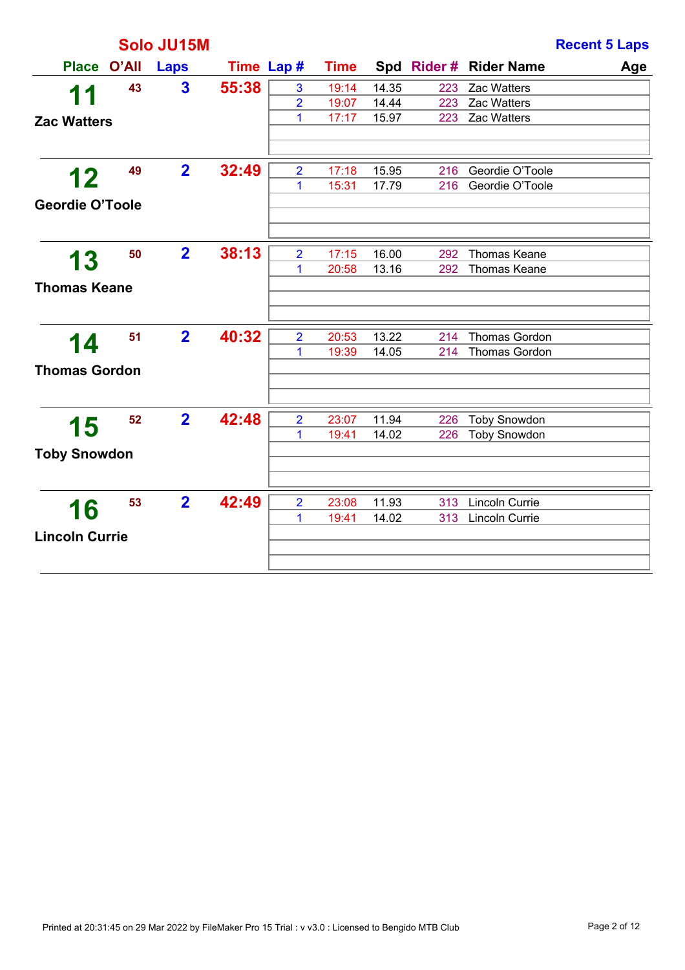|                        |    | Solo JU15M              |       |                     |                |                |            |                                              | <b>Recent 5 Laps</b> |
|------------------------|----|-------------------------|-------|---------------------|----------------|----------------|------------|----------------------------------------------|----------------------|
| Place O'All            |    | Laps                    |       | Time Lap #          | <b>Time</b>    |                |            | Spd Rider # Rider Name                       | Age                  |
| 11                     | 43 | $\overline{\mathbf{3}}$ | 55:38 | 3                   | 19:14          | 14.35          | 223        | Zac Watters                                  |                      |
|                        |    |                         |       | $\overline{2}$      | 19:07          | 14.44          | 223        | Zac Watters                                  |                      |
| <b>Zac Watters</b>     |    |                         |       | 1                   | 17:17          | 15.97          | 223        | Zac Watters                                  |                      |
| 12                     | 49 | $\overline{2}$          | 32:49 | $\overline{2}$      | 17:18          | 15.95          | 216        | Geordie O'Toole                              |                      |
| <b>Geordie O'Toole</b> |    |                         |       | 1                   | 15:31          | 17.79          | 216        | Geordie O'Toole                              |                      |
| 13                     | 50 | $\overline{2}$          | 38:13 | $\overline{2}$      | 17:15          | 16.00          | 292        | <b>Thomas Keane</b>                          |                      |
| <b>Thomas Keane</b>    |    |                         |       | 1                   | 20:58          | 13.16          | 292        | <b>Thomas Keane</b>                          |                      |
|                        |    |                         |       |                     |                |                |            |                                              |                      |
| 14                     | 51 | $\overline{2}$          | 40:32 | $\overline{2}$<br>1 | 20:53<br>19:39 | 13.22<br>14.05 | 214<br>214 | <b>Thomas Gordon</b><br><b>Thomas Gordon</b> |                      |
| <b>Thomas Gordon</b>   |    |                         |       |                     |                |                |            |                                              |                      |
| 15                     | 52 | $\overline{2}$          | 42:48 | $\overline{2}$      | 23:07          | 11.94          | 226        | <b>Toby Snowdon</b>                          |                      |
|                        |    |                         |       | 1                   | 19:41          | 14.02          | 226        | <b>Toby Snowdon</b>                          |                      |
| <b>Toby Snowdon</b>    |    |                         |       |                     |                |                |            |                                              |                      |
|                        | 53 | $\overline{2}$          | 42:49 | $\overline{2}$      | 23:08          | 11.93          | 313        | Lincoln Currie                               |                      |
| 16                     |    |                         |       | 1                   | 19:41          | 14.02          | 313        | Lincoln Currie                               |                      |
| <b>Lincoln Currie</b>  |    |                         |       |                     |                |                |            |                                              |                      |
|                        |    |                         |       |                     |                |                |            |                                              |                      |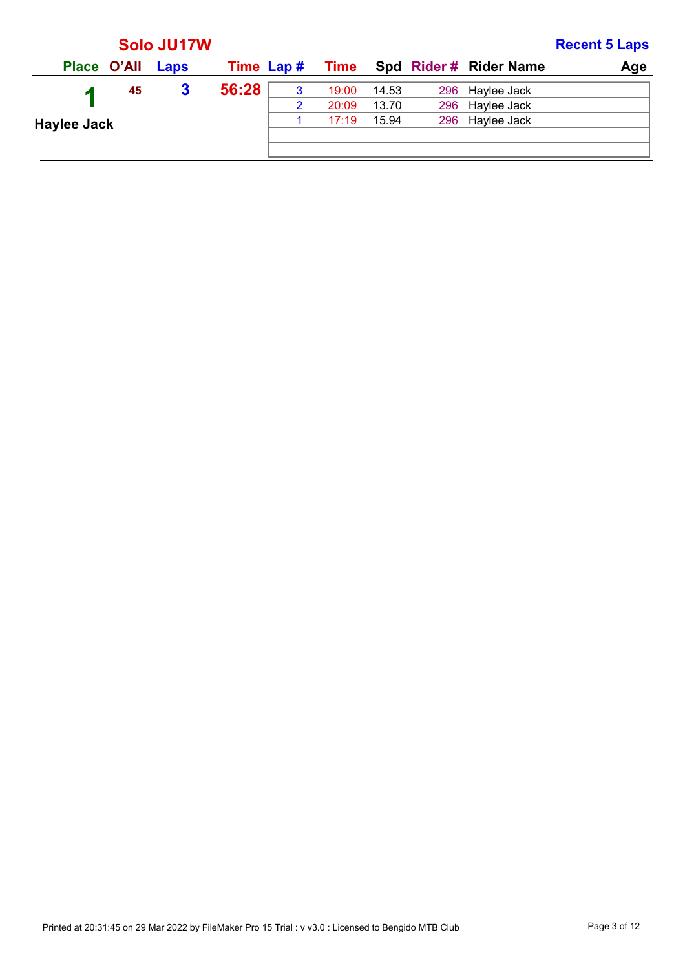|                    |    | Solo JU17W |            |   |       |       |                                    | <b>Recent 5 Laps</b> |
|--------------------|----|------------|------------|---|-------|-------|------------------------------------|----------------------|
| Place O'All Laps   |    |            | Time Lap # |   |       |       | <b>Time</b> Spd Rider # Rider Name | Age                  |
|                    | 45 | 3          | 56:28      | 3 | 19:00 | 14.53 | 296 Haylee Jack                    |                      |
|                    |    |            |            | 2 | 20:09 | 13.70 | 296 Haylee Jack                    |                      |
| <b>Haylee Jack</b> |    |            |            |   | 17:19 | 15.94 | 296 Haylee Jack                    |                      |
|                    |    |            |            |   |       |       |                                    |                      |
|                    |    |            |            |   |       |       |                                    |                      |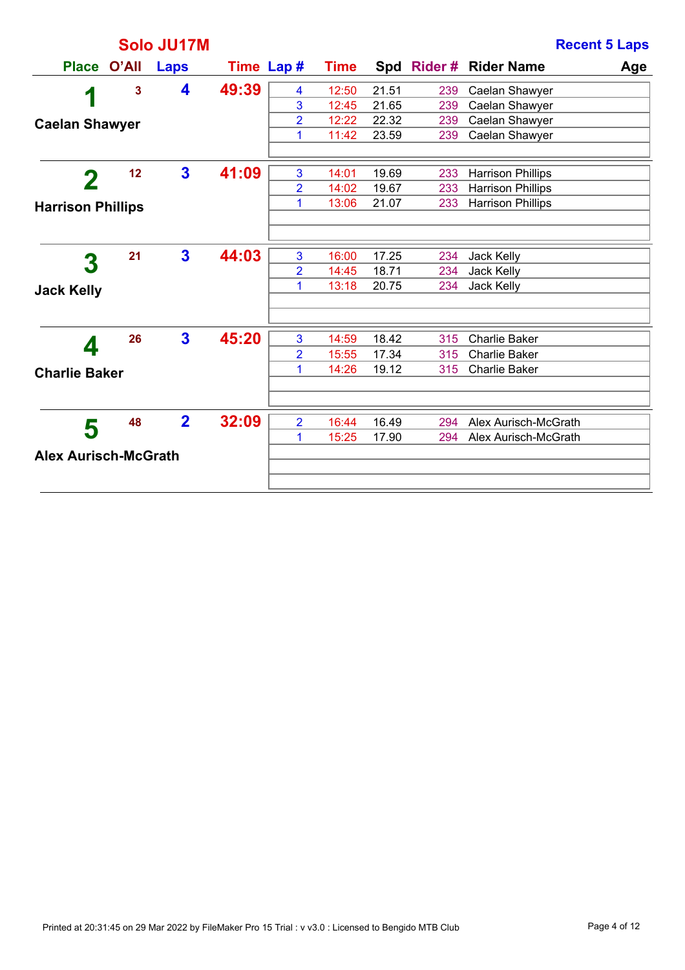|                             |       | Solo JU17M     |            |                         |             |       |     | <b>Recent 5 Laps</b>     |     |
|-----------------------------|-------|----------------|------------|-------------------------|-------------|-------|-----|--------------------------|-----|
| <b>Place</b>                | O'All | Laps           | Time Lap # |                         | <b>Time</b> |       |     | Spd Rider# Rider Name    | Age |
|                             | 3     | 4              | 49:39      | $\overline{\mathbf{4}}$ | 12:50       | 21.51 | 239 | Caelan Shawyer           |     |
| 1                           |       |                |            | 3                       | 12:45       | 21.65 | 239 | Caelan Shawyer           |     |
| <b>Caelan Shawyer</b>       |       |                |            | $\overline{2}$          | 12:22       | 22.32 | 239 | Caelan Shawyer           |     |
|                             |       |                |            | 1                       | 11:42       | 23.59 | 239 | Caelan Shawyer           |     |
|                             |       |                |            |                         |             |       |     |                          |     |
| 2                           | 12    | $\mathbf{3}$   | 41:09      | 3                       | 14:01       | 19.69 | 233 | <b>Harrison Phillips</b> |     |
|                             |       |                |            | $\overline{2}$          | 14:02       | 19.67 | 233 | <b>Harrison Phillips</b> |     |
| <b>Harrison Phillips</b>    |       |                |            | 1                       | 13:06       | 21.07 | 233 | <b>Harrison Phillips</b> |     |
|                             |       |                |            |                         |             |       |     |                          |     |
|                             | 21    | $\mathbf{3}$   | 44:03      | 3                       | 16:00       | 17.25 | 234 | Jack Kelly               |     |
| $\boldsymbol{3}$            |       |                |            | $\overline{2}$          | 14:45       | 18.71 | 234 | Jack Kelly               |     |
| <b>Jack Kelly</b>           |       |                |            | 1                       | 13:18       | 20.75 | 234 | Jack Kelly               |     |
|                             |       |                |            |                         |             |       |     |                          |     |
|                             | 26    | $\mathbf{3}$   | 45:20      | 3                       | 14:59       | 18.42 | 315 | <b>Charlie Baker</b>     |     |
| Д                           |       |                |            | $\overline{2}$          | 15:55       | 17.34 | 315 | <b>Charlie Baker</b>     |     |
| <b>Charlie Baker</b>        |       |                |            | 1                       | 14:26       | 19.12 | 315 | <b>Charlie Baker</b>     |     |
|                             |       |                |            |                         |             |       |     |                          |     |
|                             | 48    | $\overline{2}$ | 32:09      | $\overline{2}$          | 16:44       | 16.49 | 294 | Alex Aurisch-McGrath     |     |
| 5                           |       |                |            | 1                       | 15:25       | 17.90 | 294 | Alex Aurisch-McGrath     |     |
| <b>Alex Aurisch-McGrath</b> |       |                |            |                         |             |       |     |                          |     |
|                             |       |                |            |                         |             |       |     |                          |     |
|                             |       |                |            |                         |             |       |     |                          |     |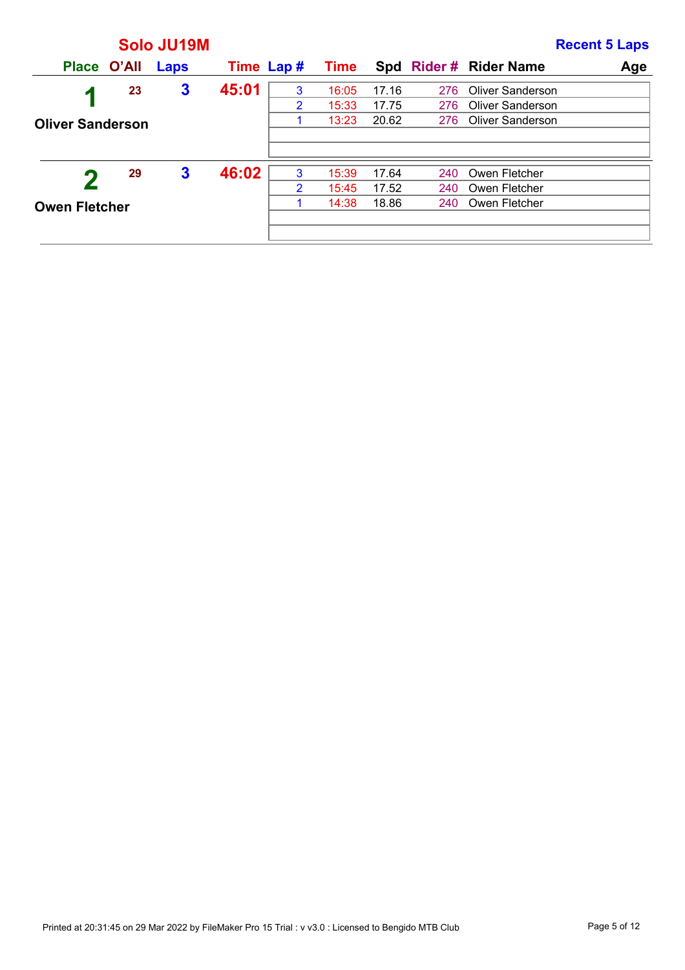|                         |             | Solo JU19M |            |   |             |       |     |                         | <b>Recent 5 Laps</b> |
|-------------------------|-------------|------------|------------|---|-------------|-------|-----|-------------------------|----------------------|
|                         | Place O'All | Laps       | Time Lap # |   | <b>Time</b> |       |     | Spd Rider# Rider Name   | Age                  |
| и                       | 23          | 3          | 45:01      | 3 | 16:05       | 17.16 | 276 | Oliver Sanderson        |                      |
|                         |             |            |            | 2 | 15:33       | 17.75 | 276 | <b>Oliver Sanderson</b> |                      |
| <b>Oliver Sanderson</b> |             |            |            |   | 13:23       | 20.62 | 276 | Oliver Sanderson        |                      |
|                         |             |            |            |   |             |       |     |                         |                      |
|                         |             |            |            |   |             |       |     |                         |                      |
|                         | 29          | 3          | 46:02      | 3 | 15:39       | 17.64 | 240 | Owen Fletcher           |                      |
|                         |             |            |            | 2 | 15:45       | 17.52 | 240 | Owen Fletcher           |                      |
| <b>Owen Fletcher</b>    |             |            |            |   | 14:38       | 18.86 | 240 | Owen Fletcher           |                      |
|                         |             |            |            |   |             |       |     |                         |                      |
|                         |             |            |            |   |             |       |     |                         |                      |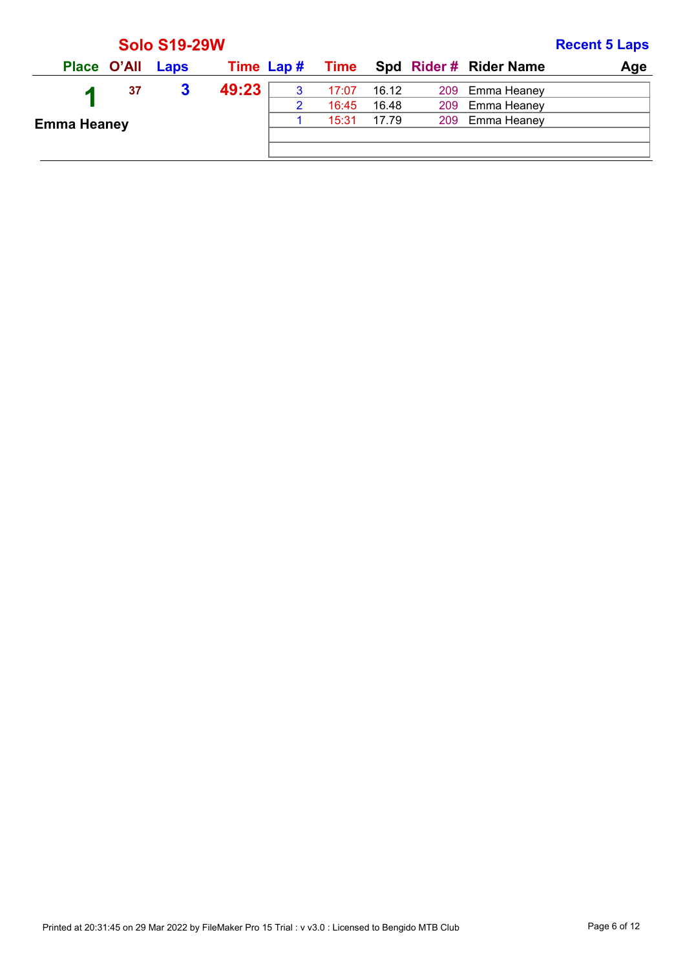|                    |                  | <b>Solo S19-29W</b> |            |   |       |       |                                    | <b>Recent 5 Laps</b> |
|--------------------|------------------|---------------------|------------|---|-------|-------|------------------------------------|----------------------|
|                    | Place O'All Laps |                     | Time Lap # |   |       |       | <b>Time</b> Spd Rider # Rider Name | Age                  |
|                    | 37               | 3                   | 49:23      | 3 | 17:07 | 16.12 | 209 Emma Heaney                    |                      |
|                    |                  |                     |            | 2 | 16:45 | 16.48 | 209 Emma Heaney                    |                      |
| <b>Emma Heaney</b> |                  |                     |            |   | 15:31 | 17.79 | 209 Emma Heaney                    |                      |
|                    |                  |                     |            |   |       |       |                                    |                      |
|                    |                  |                     |            |   |       |       |                                    |                      |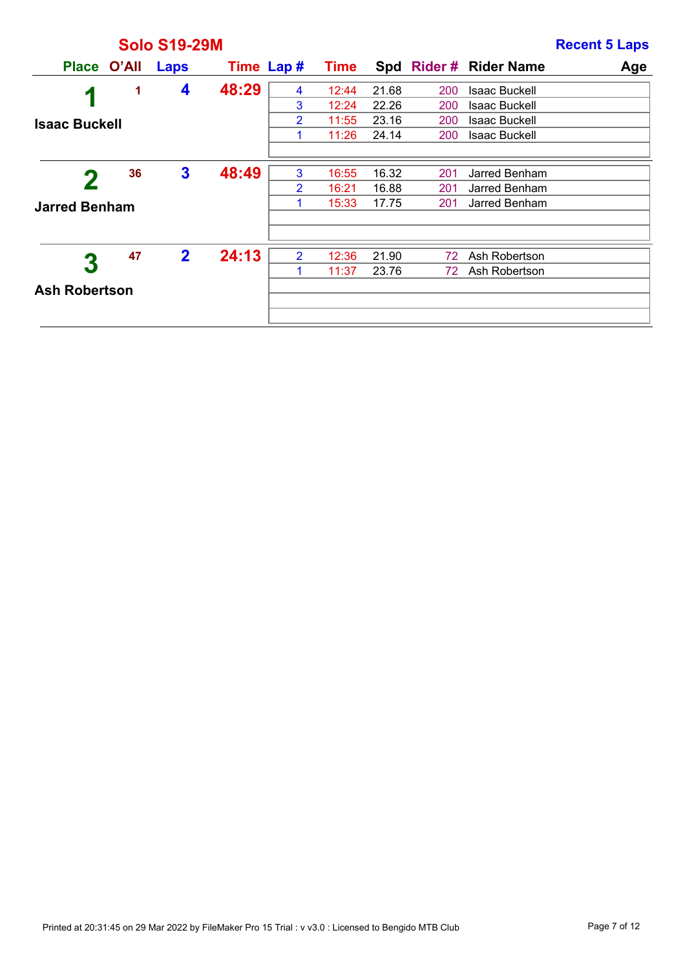|                      |    | <b>Solo S19-29M</b> |       |                |       |       |     |                        | <b>Recent 5 Laps</b> |
|----------------------|----|---------------------|-------|----------------|-------|-------|-----|------------------------|----------------------|
| Place O'All          |    | Laps                |       | Time Lap #     | Time  |       |     | Spd Rider # Rider Name | Age                  |
| 1                    | 1  | 4                   | 48:29 | 4              | 12:44 | 21.68 | 200 | <b>Isaac Buckell</b>   |                      |
|                      |    |                     |       | 3              | 12:24 | 22.26 | 200 | <b>Isaac Buckell</b>   |                      |
| <b>Isaac Buckell</b> |    |                     |       | 2              | 11:55 | 23.16 | 200 | <b>Isaac Buckell</b>   |                      |
|                      |    |                     |       | 1              | 11:26 | 24.14 | 200 | <b>Isaac Buckell</b>   |                      |
|                      |    |                     |       |                |       |       |     |                        |                      |
|                      | 36 | $\mathbf{3}$        | 48:49 | 3              | 16:55 | 16.32 | 201 | Jarred Benham          |                      |
|                      |    |                     |       | $\overline{2}$ | 16:21 | 16.88 | 201 | Jarred Benham          |                      |
| <b>Jarred Benham</b> |    |                     |       | 1              | 15:33 | 17.75 | 201 | Jarred Benham          |                      |
|                      |    |                     |       |                |       |       |     |                        |                      |
|                      | 47 | $\overline{2}$      | 24:13 | $\overline{2}$ | 12:36 | 21.90 | 72  | Ash Robertson          |                      |
| 3                    |    |                     |       | 1              | 11:37 | 23.76 | 72  | Ash Robertson          |                      |
| <b>Ash Robertson</b> |    |                     |       |                |       |       |     |                        |                      |
|                      |    |                     |       |                |       |       |     |                        |                      |
|                      |    |                     |       |                |       |       |     |                        |                      |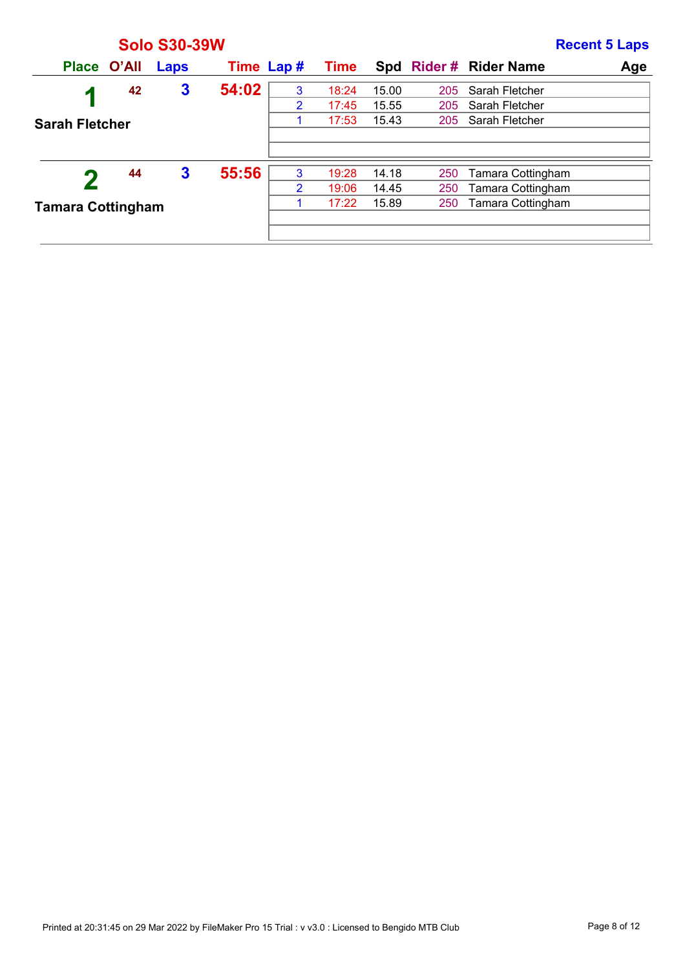|                          |              |       | <b>Solo S30-39W</b> |            |                |             |       |            |                          | <b>Recent 5 Laps</b> |
|--------------------------|--------------|-------|---------------------|------------|----------------|-------------|-------|------------|--------------------------|----------------------|
|                          | <b>Place</b> | O'All | Laps                | Time Lap # |                | <b>Time</b> |       |            | Spd Rider # Rider Name   | Age                  |
|                          | 1            | 42    | $\mathbf{3}$        | 54:02      | 3              | 18:24       | 15.00 | 205        | Sarah Fletcher           |                      |
|                          |              |       |                     |            | 2              | 17:45       | 15.55 | 205        | Sarah Fletcher           |                      |
| <b>Sarah Fletcher</b>    |              |       |                     |            |                | 17:53       | 15.43 | 205        | Sarah Fletcher           |                      |
|                          |              |       |                     |            |                |             |       |            |                          |                      |
|                          |              |       |                     |            |                |             |       |            |                          |                      |
|                          |              | 44    | 3                   | 55:56      | 3              | 19:28       | 14.18 | 250        | <b>Tamara Cottingham</b> |                      |
|                          |              |       |                     |            | $\overline{2}$ | 19:06       | 14.45 | 250        | Tamara Cottingham        |                      |
| <b>Tamara Cottingham</b> |              |       |                     |            |                | 17:22       | 15.89 | <b>250</b> | <b>Tamara Cottingham</b> |                      |
|                          |              |       |                     |            |                |             |       |            |                          |                      |
|                          |              |       |                     |            |                |             |       |            |                          |                      |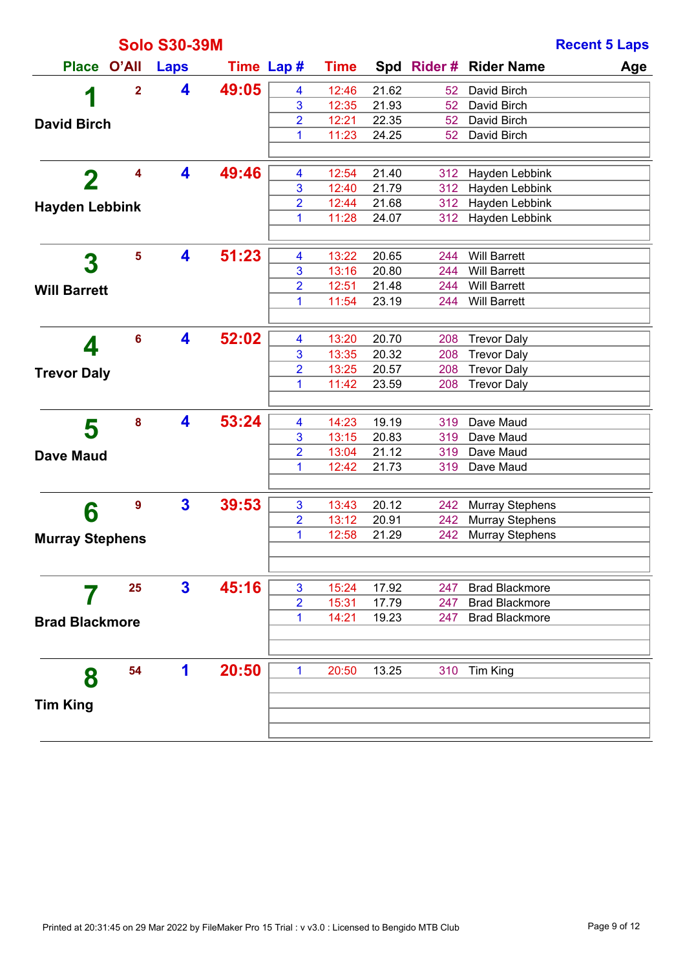|                        |                         | <b>Solo S30-39M</b>     |            |                     |                |                |                 |                                                | <b>Recent 5 Laps</b> |
|------------------------|-------------------------|-------------------------|------------|---------------------|----------------|----------------|-----------------|------------------------------------------------|----------------------|
| <b>Place</b>           | O'All                   | <b>Laps</b>             | Time Lap # |                     | <b>Time</b>    |                |                 | Spd Rider # Rider Name                         | Age                  |
| 1                      | $\overline{\mathbf{2}}$ | 4                       | 49:05      | 4                   | 12:46          | 21.62          | 52 <sub>2</sub> | David Birch                                    |                      |
|                        |                         |                         |            | 3                   | 12:35          | 21.93          | 52 <sub>2</sub> | David Birch                                    |                      |
| <b>David Birch</b>     |                         |                         |            | 2                   | 12:21          | 22.35          | 52              | David Birch                                    |                      |
|                        |                         |                         |            | 1                   | 11:23          | 24.25          | 52              | David Birch                                    |                      |
|                        |                         |                         |            |                     |                |                |                 |                                                |                      |
| $\mathbf 2$            | 4                       | 4                       | 49:46      | 4                   | 12:54          | 21.40          | 312             | Hayden Lebbink                                 |                      |
|                        |                         |                         |            | 3                   | 12:40          | 21.79          | 312             | Hayden Lebbink                                 |                      |
| <b>Hayden Lebbink</b>  |                         |                         |            | 2                   | 12:44          | 21.68          | 312             | Hayden Lebbink                                 |                      |
|                        |                         |                         |            | 1                   | 11:28          | 24.07          | 312             | Hayden Lebbink                                 |                      |
|                        |                         |                         |            |                     |                |                |                 |                                                |                      |
| 3                      | 5                       | 4                       | 51:23      | 4                   | 13:22          | 20.65          | 244             | <b>Will Barrett</b>                            |                      |
|                        |                         |                         |            | 3                   | 13:16<br>12:51 | 20.80<br>21.48 | 244             | <b>Will Barrett</b><br><b>Will Barrett</b>     |                      |
| <b>Will Barrett</b>    |                         |                         |            | 2<br>1              | 11:54          | 23.19          | 244<br>244      | <b>Will Barrett</b>                            |                      |
|                        |                         |                         |            |                     |                |                |                 |                                                |                      |
|                        | 6                       | 4                       | 52:02      | 4                   | 13:20          | 20.70          | 208             | <b>Trevor Daly</b>                             |                      |
| 4                      |                         |                         |            | 3                   | 13:35          | 20.32          | 208             | <b>Trevor Daly</b>                             |                      |
|                        |                         |                         |            | 2                   | 13:25          | 20.57          | 208             | <b>Trevor Daly</b>                             |                      |
| <b>Trevor Daly</b>     |                         |                         |            | 1                   | 11:42          | 23.59          | 208             | <b>Trevor Daly</b>                             |                      |
|                        |                         |                         |            |                     |                |                |                 |                                                |                      |
|                        | 8                       | 4                       | 53:24      | 4                   | 14:23          | 19.19          | 319             | Dave Maud                                      |                      |
| 5                      |                         |                         |            | 3                   | 13:15          | 20.83          | 319             | Dave Maud                                      |                      |
| <b>Dave Maud</b>       |                         |                         |            | 2                   | 13:04          | 21.12          | 319             | Dave Maud                                      |                      |
|                        |                         |                         |            | 1                   | 12:42          | 21.73          | 319             | Dave Maud                                      |                      |
|                        |                         |                         |            |                     |                |                |                 |                                                |                      |
| 6                      | 9                       | $\overline{\mathbf{3}}$ | 39:53      | 3                   | 13:43          | 20.12          | 242             | <b>Murray Stephens</b>                         |                      |
|                        |                         |                         |            | 2                   | 13:12          | 20.91          | 242             | <b>Murray Stephens</b>                         |                      |
| <b>Murray Stephens</b> |                         |                         |            | 1                   | 12:58          | 21.29          | 242             | <b>Murray Stephens</b>                         |                      |
|                        |                         |                         |            |                     |                |                |                 |                                                |                      |
|                        |                         |                         |            |                     |                |                |                 |                                                |                      |
|                        | 25                      | $\mathbf{3}$            | 45:16      | 3                   | 15:24          | 17.92          | 247             | <b>Brad Blackmore</b><br><b>Brad Blackmore</b> |                      |
|                        |                         |                         |            | $\overline{2}$<br>1 | 15:31<br>14:21 | 17.79<br>19.23 | 247<br>247      | <b>Brad Blackmore</b>                          |                      |
| <b>Brad Blackmore</b>  |                         |                         |            |                     |                |                |                 |                                                |                      |
|                        |                         |                         |            |                     |                |                |                 |                                                |                      |
|                        | 54                      | 1                       | 20:50      | 1                   | 20:50          | 13.25          | 310             | Tim King                                       |                      |
| 8                      |                         |                         |            |                     |                |                |                 |                                                |                      |
| <b>Tim King</b>        |                         |                         |            |                     |                |                |                 |                                                |                      |
|                        |                         |                         |            |                     |                |                |                 |                                                |                      |
|                        |                         |                         |            |                     |                |                |                 |                                                |                      |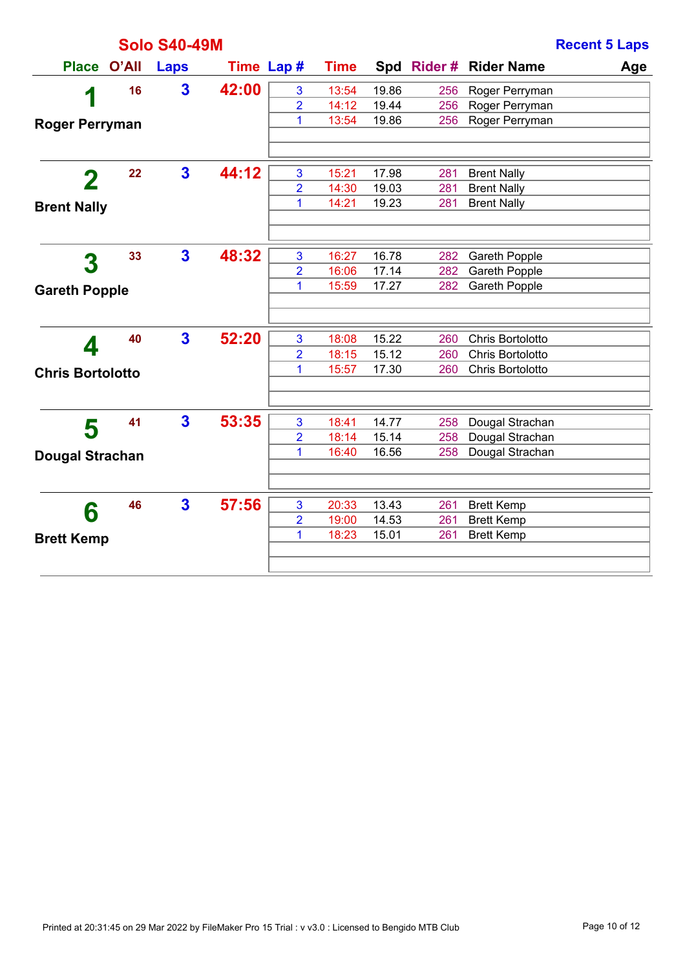|                         |       | <b>Solo S40-49M</b>     |            |                         |             |       |     |                       | <b>Recent 5 Laps</b> |
|-------------------------|-------|-------------------------|------------|-------------------------|-------------|-------|-----|-----------------------|----------------------|
| <b>Place</b>            | O'All | <b>Laps</b>             | Time Lap # |                         | <b>Time</b> |       |     | Spd Rider# Rider Name | Age                  |
|                         | 16    | $\overline{\mathbf{3}}$ | 42:00      | 3                       | 13:54       | 19.86 | 256 | Roger Perryman        |                      |
| 1                       |       |                         |            | $\overline{2}$          | 14:12       | 19.44 | 256 | Roger Perryman        |                      |
| <b>Roger Perryman</b>   |       |                         |            | 1                       | 13:54       | 19.86 | 256 | Roger Perryman        |                      |
|                         |       |                         |            |                         |             |       |     |                       |                      |
| 2                       | 22    | $\overline{\mathbf{3}}$ | 44:12      | 3                       | 15:21       | 17.98 | 281 | <b>Brent Nally</b>    |                      |
|                         |       |                         |            | $\overline{2}$          | 14:30       | 19.03 | 281 | <b>Brent Nally</b>    |                      |
| <b>Brent Nally</b>      |       |                         |            | 1                       | 14:21       | 19.23 | 281 | <b>Brent Nally</b>    |                      |
|                         |       |                         |            |                         |             |       |     |                       |                      |
| 3                       | 33    | $\mathbf{3}$            | 48:32      | 3                       | 16:27       | 16.78 | 282 | Gareth Popple         |                      |
|                         |       |                         |            | $\overline{\mathbf{2}}$ | 16:06       | 17.14 | 282 | Gareth Popple         |                      |
| <b>Gareth Popple</b>    |       |                         |            | 1                       | 15:59       | 17.27 | 282 | <b>Gareth Popple</b>  |                      |
|                         |       |                         |            |                         |             |       |     |                       |                      |
| 4                       | 40    | $\mathbf{3}$            | 52:20      | 3                       | 18:08       | 15.22 | 260 | Chris Bortolotto      |                      |
|                         |       |                         |            | $\overline{2}$          | 18:15       | 15.12 | 260 | Chris Bortolotto      |                      |
| <b>Chris Bortolotto</b> |       |                         |            | 1                       | 15:57       | 17.30 | 260 | Chris Bortolotto      |                      |
|                         |       |                         |            |                         |             |       |     |                       |                      |
| 5                       | 41    | $\overline{\mathbf{3}}$ | 53:35      | 3                       | 18:41       | 14.77 | 258 | Dougal Strachan       |                      |
|                         |       |                         |            | 2                       | 18:14       | 15.14 | 258 | Dougal Strachan       |                      |
| <b>Dougal Strachan</b>  |       |                         |            | 1                       | 16:40       | 16.56 | 258 | Dougal Strachan       |                      |
|                         |       |                         |            |                         |             |       |     |                       |                      |
| 6                       | 46    | $\overline{\mathbf{3}}$ | 57:56      | 3                       | 20:33       | 13.43 | 261 | <b>Brett Kemp</b>     |                      |
|                         |       |                         |            | $\overline{2}$          | 19:00       | 14.53 | 261 | <b>Brett Kemp</b>     |                      |
| <b>Brett Kemp</b>       |       |                         |            | 1                       | 18:23       | 15.01 | 261 | <b>Brett Kemp</b>     |                      |
|                         |       |                         |            |                         |             |       |     |                       |                      |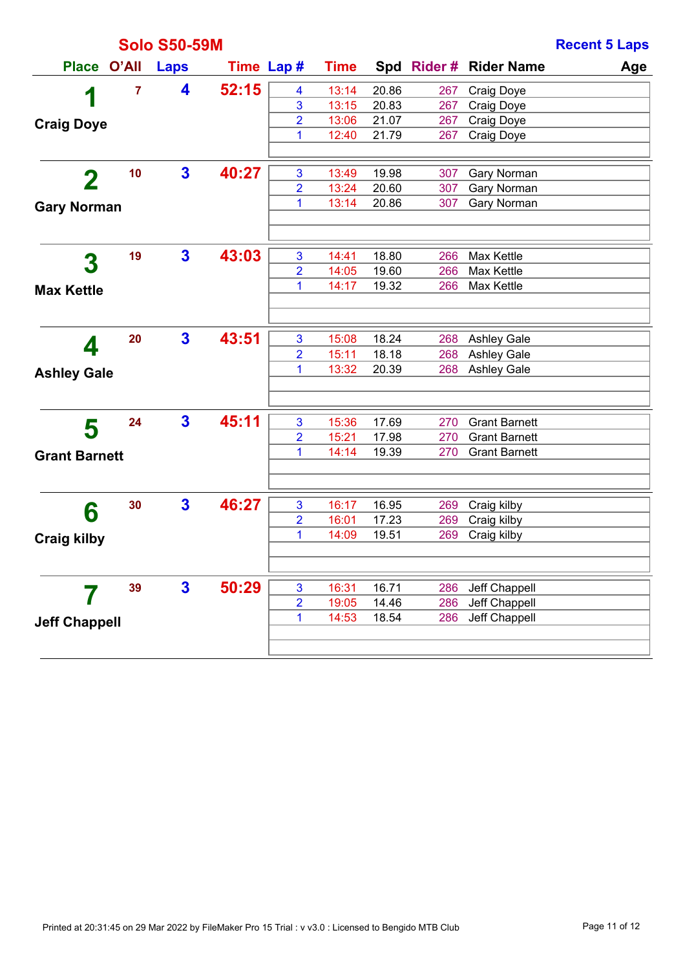|                      |                | <b>Solo S50-59M</b>     |            |                |             |       |     |                        | <b>Recent 5 Laps</b> |
|----------------------|----------------|-------------------------|------------|----------------|-------------|-------|-----|------------------------|----------------------|
| <b>Place</b>         | O'All          | <b>Laps</b>             | Time Lap # |                | <b>Time</b> |       |     | Spd Rider # Rider Name | Age                  |
|                      | $\overline{7}$ | 4                       | 52:15      | 4              | 13:14       | 20.86 | 267 | <b>Craig Doye</b>      |                      |
| 1                    |                |                         |            | 3              | 13:15       | 20.83 | 267 | Craig Doye             |                      |
| <b>Craig Doye</b>    |                |                         |            | 2              | 13:06       | 21.07 | 267 | Craig Doye             |                      |
|                      |                |                         |            | 1              | 12:40       | 21.79 | 267 | Craig Doye             |                      |
|                      |                |                         |            |                |             |       |     |                        |                      |
| $\mathbf 2$          | 10             | $\mathbf{3}$            | 40:27      | 3              | 13:49       | 19.98 | 307 | Gary Norman            |                      |
|                      |                |                         |            | $\overline{2}$ | 13:24       | 20.60 | 307 | Gary Norman            |                      |
| <b>Gary Norman</b>   |                |                         |            | 1              | 13:14       | 20.86 | 307 | Gary Norman            |                      |
|                      |                |                         |            |                |             |       |     |                        |                      |
|                      | 19             | $\mathbf{3}$            | 43:03      | 3              | 14:41       | 18.80 | 266 | Max Kettle             |                      |
| 3                    |                |                         |            | $\overline{2}$ | 14:05       | 19.60 | 266 | Max Kettle             |                      |
| <b>Max Kettle</b>    |                |                         |            | 1              | 14:17       | 19.32 | 266 | Max Kettle             |                      |
|                      |                |                         |            |                |             |       |     |                        |                      |
|                      |                |                         |            |                |             |       |     |                        |                      |
| 4                    | 20             | $\overline{\mathbf{3}}$ | 43:51      | 3              | 15:08       | 18.24 |     | 268 Ashley Gale        |                      |
|                      |                |                         |            | $\overline{2}$ | 15:11       | 18.18 |     | 268 Ashley Gale        |                      |
| <b>Ashley Gale</b>   |                |                         |            | 1              | 13:32       | 20.39 |     | 268 Ashley Gale        |                      |
|                      |                |                         |            |                |             |       |     |                        |                      |
|                      | 24             | $\mathbf{3}$            | 45:11      | 3              | 15:36       | 17.69 | 270 | <b>Grant Barnett</b>   |                      |
| 5                    |                |                         |            | $\overline{2}$ | 15:21       | 17.98 | 270 | <b>Grant Barnett</b>   |                      |
| <b>Grant Barnett</b> |                |                         |            | 1              | 14:14       | 19.39 | 270 | <b>Grant Barnett</b>   |                      |
|                      |                |                         |            |                |             |       |     |                        |                      |
|                      | 30             | $\mathbf{3}$            | 46:27      | 3              | 16:17       | 16.95 | 269 | Craig kilby            |                      |
| 6                    |                |                         |            | 2              | 16:01       | 17.23 | 269 | Craig kilby            |                      |
| <b>Craig kilby</b>   |                |                         |            | 1              | 14:09       | 19.51 | 269 | Craig kilby            |                      |
|                      |                |                         |            |                |             |       |     |                        |                      |
|                      |                |                         |            |                |             |       |     |                        |                      |
|                      | 39             | $\overline{\mathbf{3}}$ | 50:29      | $\mathbf{3}$   | 16:31       | 16.71 | 286 | Jeff Chappell          |                      |
|                      |                |                         |            | $\overline{2}$ | 19:05       | 14.46 | 286 | Jeff Chappell          |                      |
| <b>Jeff Chappell</b> |                |                         |            | 1              | 14:53       | 18.54 | 286 | Jeff Chappell          |                      |
|                      |                |                         |            |                |             |       |     |                        |                      |
|                      |                |                         |            |                |             |       |     |                        |                      |